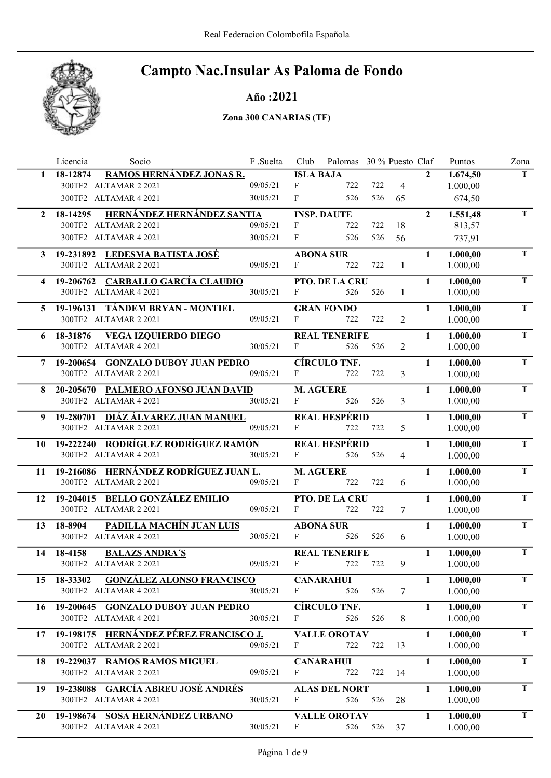

#### Año :2021

|              | Licencia<br>Socio                                            | F .Suelta | Club             | Palomas 30 % Puesto Claf |     |                |                | Puntos               | Zona        |
|--------------|--------------------------------------------------------------|-----------|------------------|--------------------------|-----|----------------|----------------|----------------------|-------------|
| $\mathbf{1}$ | RAMOS HERNÁNDEZ JONAS R.<br>18-12874                         |           | <b>ISLA BAJA</b> |                          |     |                | $\mathbf{2}$   | 1.674,50             | T.          |
|              | 300TF2 ALTAMAR 2 2021                                        | 09/05/21  | F                | 722                      | 722 | $\overline{4}$ |                | 1.000,00             |             |
|              | 300TF2 ALTAMAR 4 2021                                        | 30/05/21  | F                | 526                      | 526 | 65             |                | 674,50               |             |
| $\mathbf{2}$ | HERNÁNDEZ HERNÁNDEZ SANTIA<br>18-14295                       |           |                  | <b>INSP. DAUTE</b>       |     |                | $\overline{2}$ | 1.551,48             | $\mathbf T$ |
|              | 300TF2 ALTAMAR 2 2021                                        | 09/05/21  | F                | 722                      | 722 | 18             |                | 813,57               |             |
|              | 300TF2 ALTAMAR 4 2021                                        | 30/05/21  | F                | 526                      | 526 | 56             |                | 737,91               |             |
| 3            | 19-231892 LEDESMA BATISTA JOSÉ                               |           |                  | <b>ABONA SUR</b>         |     |                | $\mathbf{1}$   | 1.000,00             | T.          |
|              | 300TF2 ALTAMAR 2 2021                                        | 09/05/21  | F                | 722                      | 722 | $\mathbf{1}$   |                | 1.000,00             |             |
| 4            | 19-206762 CARBALLO GARCÍA CLAUDIO                            |           |                  | PTO. DE LA CRU           |     |                | $\mathbf{1}$   | 1.000,00             | T           |
|              | 300TF2 ALTAMAR 4 2021                                        | 30/05/21  | F                | 526                      | 526 | 1              |                | 1.000,00             |             |
| 5.           | 19-196131 TÁNDEM BRYAN - MONTIEL                             |           |                  | <b>GRAN FONDO</b>        |     |                | $\mathbf{1}$   | 1.000,00             | T.          |
|              | 300TF2 ALTAMAR 2 2021                                        | 09/05/21  | F                | 722                      | 722 | 2              |                | 1.000,00             |             |
| 6.           | 18-31876<br><b>VEGA IZQUIERDO DIEGO</b>                      |           |                  | <b>REAL TENERIFE</b>     |     |                | $\mathbf{1}$   | 1.000,00             | T.          |
|              | 300TF2 ALTAMAR 4 2021                                        | 30/05/21  | F                | 526                      | 526 | 2              |                | 1.000,00             |             |
|              | 7 19-200654 GONZALO DUBOY JUAN PEDRO                         |           |                  | <b>CÍRCULO TNF.</b>      |     |                | $\mathbf{1}$   | 1.000,00             | T.          |
|              | 300TF2 ALTAMAR 2 2021                                        | 09/05/21  | F                | 722                      | 722 | 3              |                | 1.000,00             |             |
| 8            | 20-205670 PALMERO AFONSO JUAN DAVID                          |           | <b>M. AGUERE</b> |                          |     |                | $\mathbf{1}$   | 1.000,00             | T           |
|              | 300TF2 ALTAMAR 4 2021                                        | 30/05/21  | F                | 526                      | 526 | 3              |                | 1.000,00             |             |
| 9            | 19-280701 DIÁZ ÁLVAREZ JUAN MANUEL                           |           |                  | <b>REAL HESPÉRID</b>     |     |                | $\mathbf{1}$   | 1.000,00             | T.          |
|              | 300TF2 ALTAMAR 2 2021                                        | 09/05/21  | F                | 722                      | 722 | 5              |                | 1.000,00             |             |
| 10           | 19-222240 RODRÍGUEZ RODRÍGUEZ RAMÓN                          |           |                  | <b>REAL HESPÉRID</b>     |     |                | $\mathbf{1}$   | 1.000,00             | T           |
|              | 300TF2 ALTAMAR 4 2021                                        | 30/05/21  | F                | 526                      | 526 | 4              |                | 1.000,00             |             |
|              | 19-216086 HERNÁNDEZ RODRÍGUEZ JUAN L.                        |           | <b>M. AGUERE</b> |                          |     |                | $\mathbf{1}$   | 1.000,00             | T.          |
| 11           | 300TF2 ALTAMAR 2 2021                                        | 09/05/21  | F                | 722                      | 722 | 6              |                | 1.000,00             |             |
|              |                                                              |           |                  |                          |     |                |                |                      | T           |
| 12           | 19-204015 BELLO GONZÁLEZ EMILIO<br>300TF2 ALTAMAR 2 2021     | 09/05/21  | F                | PTO. DE LA CRU<br>722    | 722 | 7              | $\mathbf{1}$   | 1.000,00<br>1.000,00 |             |
|              |                                                              |           |                  |                          |     |                |                |                      |             |
| 13           | PADILLA MACHÍN JUAN LUIS<br>18-8904<br>300TF2 ALTAMAR 4 2021 | 30/05/21  | F                | <b>ABONA SUR</b><br>526  | 526 | 6              | $\mathbf{1}$   | 1.000,00<br>1.000,00 | T           |
|              |                                                              |           |                  |                          |     |                |                |                      |             |
| 14           | 18-4158<br><b>BALAZS ANDRA'S</b>                             |           |                  | <b>REAL TENERIFE</b>     |     |                | $\mathbf{1}$   | 1.000,00             | T           |
|              | 300TF2 ALTAMAR 2 2021                                        | 09/05/21  | $\mathbf{F}$     | 722                      | 722 | 9              |                | 1.000,00             |             |
| 15           | <b>GONZÁLEZ ALONSO FRANCISCO</b><br>18-33302                 |           |                  | <b>CANARAHUI</b>         |     |                | $\mathbf{1}$   | 1.000,00             | T           |
|              | 300TF2 ALTAMAR 4 2021                                        | 30/05/21  | F                | 526                      | 526 | 7              |                | 1.000,00             |             |
| 16           | 19-200645 GONZALO DUBOY JUAN PEDRO                           |           |                  | <b>CÍRCULO TNF.</b>      |     |                | 1              | 1.000,00             | T.          |
|              | 300TF2 ALTAMAR 4 2021                                        | 30/05/21  | F                | 526                      | 526 | 8              |                | 1.000,00             |             |
| 17           | 19-198175 HERNÁNDEZ PÉREZ FRANCISCO J.                       |           |                  | <b>VALLE OROTAV</b>      |     |                | 1              | 1.000,00             | T.          |
|              | 300TF2 ALTAMAR 2 2021                                        | 09/05/21  | F                | 722                      | 722 | 13             |                | 1.000,00             |             |
| 18           | 19-229037 RAMOS RAMOS MIGUEL                                 |           |                  | <b>CANARAHUI</b>         |     |                | 1              | 1.000,00             | T           |
|              | 300TF2 ALTAMAR 2 2021                                        | 09/05/21  | F                | 722                      | 722 | 14             |                | 1.000,00             |             |
| 19           | 19-238088 GARCÍA ABREU JOSÉ ANDRÉS                           |           |                  | <b>ALAS DEL NORT</b>     |     |                | 1              | 1.000,00             | T           |
|              | 300TF2 ALTAMAR 4 2021                                        | 30/05/21  | F                | 526                      | 526 | 28             |                | 1.000,00             |             |
| 20           | 19-198674 SOSA HERNÁNDEZ URBANO                              |           |                  | <b>VALLE OROTAV</b>      |     |                | $\mathbf{1}$   | 1.000,00             | T           |
|              | 300TF2 ALTAMAR 4 2021                                        | 30/05/21  | F                | 526                      | 526 | 37             |                | 1.000,00             |             |
|              |                                                              |           |                  |                          |     |                |                |                      |             |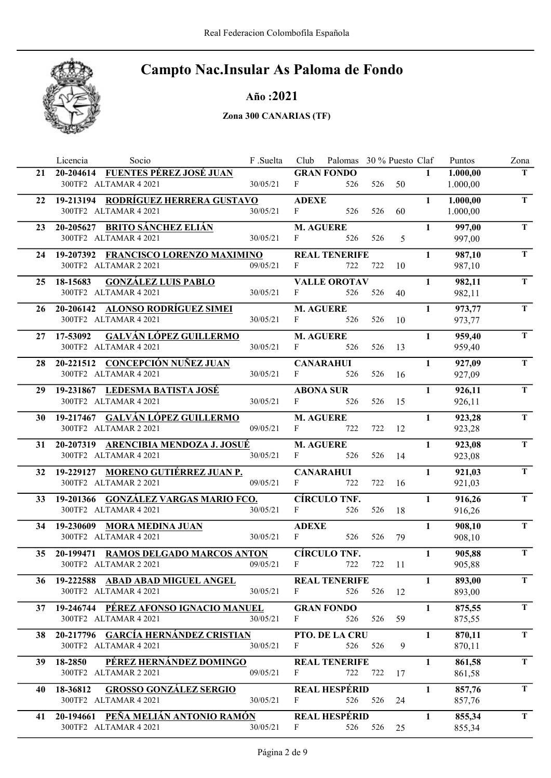

Año :2021

|    | Licencia<br>Socio                                           | F.Suelta |                  | Club Palomas 30 % Puesto Claf |     |        |              | Puntos           | Zona        |
|----|-------------------------------------------------------------|----------|------------------|-------------------------------|-----|--------|--------------|------------------|-------------|
|    | 21 20-204614 FUENTES PÉREZ JOSÉ JUAN                        |          |                  | <b>GRAN FONDO</b>             |     |        | $\mathbf{1}$ | 1.000,00         | T.          |
|    | 300TF2 ALTAMAR 4 2021                                       | 30/05/21 | F                | 526                           |     | 526 50 |              | 1.000,00         |             |
|    | 22 19-213194 RODRÍGUEZ HERRERA GUSTAVO                      |          | <b>ADEXE</b>     |                               |     |        | $\mathbf{1}$ | 1.000,00         | $\mathbf T$ |
|    | 300TF2 ALTAMAR 4 2021                                       | 30/05/21 | F                | 526                           | 526 | 60     |              | 1.000,00         |             |
| 23 | 20-205627 BRITO SÁNCHEZ ELIÁN                               |          | <b>M. AGUERE</b> |                               |     |        | $\mathbf{1}$ | 997,00           | T.          |
|    | 300TF2 ALTAMAR 4 2021                                       | 30/05/21 | F                | 526                           | 526 | 5      |              | 997,00           |             |
|    | 24 19-207392 FRANCISCO LORENZO MAXIMINO                     |          |                  | <b>REAL TENERIFE</b>          |     |        | $\mathbf{1}$ | 987,10           | T           |
|    | 300TF2 ALTAMAR 2 2021                                       | 09/05/21 | $\mathbf{F}$     | 722                           | 722 | -10    |              | 987,10           |             |
|    | <b>GONZÁLEZ LUIS PABLO</b><br>25 18-15683                   |          |                  | <b>VALLE OROTAV</b>           |     |        | $\mathbf{1}$ | 982,11           | T.          |
|    | 300TF2 ALTAMAR 4 2021                                       | 30/05/21 | F                | 526                           | 526 | 40     |              | 982,11           |             |
|    | 26 20-206142 ALONSO RODRÍGUEZ SIMEI                         |          | <b>M. AGUERE</b> |                               |     |        | $\mathbf{1}$ | 973,77           | T           |
|    | 300TF2 ALTAMAR 4 2021                                       | 30/05/21 | $F$ and $F$      | 526                           | 526 | - 10   |              | 973,77           |             |
|    | <b>GALVÁN LÓPEZ GUILLERMO</b><br>27 17-53092                |          | <b>M. AGUERE</b> |                               |     |        | $\mathbf{1}$ | 959,40           | T           |
|    | 300TF2 ALTAMAR 4 2021                                       | 30/05/21 | $F \sim 1$       | 526                           | 526 | -13    |              | 959,40           |             |
|    |                                                             |          |                  |                               |     |        |              |                  |             |
|    | 28 20-221512 CONCEPCIÓN NUÑEZ JUAN<br>300TF2 ALTAMAR 4 2021 | 30/05/21 | F                | <b>CANARAHUI</b><br>526       | 526 | - 16   | $\mathbf{1}$ | 927,09<br>927,09 | $\mathbf T$ |
|    |                                                             |          |                  |                               |     |        |              |                  |             |
|    | 29 19-231867 LEDESMA BATISTA JOSÉ                           |          |                  | <b>ABONA SUR</b>              |     |        | $\mathbf{1}$ | 926,11           | T.          |
|    | 300TF2 ALTAMAR 4 2021                                       | 30/05/21 | $F \sim 1$       | 526                           | 526 | 15     |              | 926,11           |             |
|    | 30 19-217467 GALVÁN LÓPEZ GUILLERMO                         |          | <b>M. AGUERE</b> |                               |     |        | $\mathbf{1}$ | 923,28           | T           |
|    | 300TF2 ALTAMAR 2 2021                                       | 09/05/21 | $F \sim$         | 722                           | 722 | 12     |              | 923,28           |             |
|    | 31 20-207319 ARENCIBIA MENDOZA J. JOSUÉ                     |          | <b>M. AGUERE</b> |                               |     |        | $\mathbf{1}$ | 923,08           | T           |
|    | 300TF2 ALTAMAR 4 2021                                       | 30/05/21 | $F \sim 1$       | 526                           | 526 | 14     |              | 923,08           |             |
|    | 32 19-229127 MORENO GUTIÉRREZ JUAN P.                       |          |                  | <b>CANARAHUI</b>              |     |        | $\mathbf{1}$ | 921,03           | T           |
|    | 300TF2 ALTAMAR 2 2021                                       | 09/05/21 | F                | 722                           | 722 | 16     |              | 921,03           |             |
|    | 33 19-201366 GONZÁLEZ VARGAS MARIO FCO.                     |          |                  | <b>CÍRCULO TNF.</b>           |     |        | $\mathbf{1}$ | 916,26           | T           |
|    | 300TF2 ALTAMAR 4 2021                                       | 30/05/21 | F                | 526                           | 526 | 18     |              | 916,26           |             |
|    | 34 19-230609 MORA MEDINA JUAN                               |          | <b>ADEXE</b>     |                               |     |        | $\mathbf{1}$ | 908,10           | T.          |
|    | 300TF2 ALTAMAR 4 2021                                       | 30/05/21 | $\mathbf{F}$     | 526                           | 526 | 79     |              | 908,10           |             |
| 35 | 20-199471 RAMOS DELGADO MARCOS ANTON                        |          |                  | <b>CÍRCULO TNF.</b>           |     |        | $\mathbf{1}$ | 905,88           | $\mathbf T$ |
|    | 300TF2 ALTAMAR 2 2021                                       | 09/05/21 | F                | 722                           | 722 | 11     |              | 905,88           |             |
|    | 36 19-222588 ABAD ABAD MIGUEL ANGEL                         |          |                  | <b>REAL TENERIFE</b>          |     |        | $\mathbf{1}$ | 893,00           | T.          |
|    | 300TF2 ALTAMAR 4 2021                                       | 30/05/21 | F                | 526                           |     | 526 12 |              | 893,00           |             |
|    | 37 19-246744 PÉREZ AFONSO IGNACIO MANUEL                    |          |                  | <b>GRAN FONDO</b>             |     |        | $\mathbf{1}$ | 875,55           | T           |
|    | 300TF2 ALTAMAR 4 2021                                       | 30/05/21 | F                | 526                           | 526 | 59     |              | 875,55           |             |
|    | 20-217796 GARCÍA HERNÁNDEZ CRISTIAN                         |          |                  | PTO. DE LA CRU                |     |        | $\mathbf{1}$ | 870,11           | T           |
| 38 | 300TF2 ALTAMAR 4 2021                                       | 30/05/21 | F                | 526                           | 526 | 9      |              | 870,11           |             |
|    |                                                             |          |                  |                               |     |        |              |                  |             |
| 39 | PÉREZ HERNÁNDEZ DOMINGO<br>18-2850<br>300TF2 ALTAMAR 2 2021 | 09/05/21 | F                | <b>REAL TENERIFE</b><br>722   | 722 |        | $\mathbf{1}$ | 861,58<br>861,58 | T.          |
|    |                                                             |          |                  |                               |     | 17     |              |                  |             |
| 40 | <b>GROSSO GONZÁLEZ SERGIO</b><br>18-36812                   |          |                  | <b>REAL HESPÉRID</b>          |     |        | $\mathbf{1}$ | 857,76           | T           |
|    | 300TF2 ALTAMAR 4 2021                                       | 30/05/21 | F                | 526                           | 526 | 24     |              | 857,76           |             |
| 41 | 20-194661 PEÑA MELIÁN ANTONIO RAMÓN                         |          |                  | <b>REAL HESPÉRID</b>          |     |        | $\mathbf{1}$ | 855,34           | T.          |
|    | 300TF2 ALTAMAR 4 2021                                       | 30/05/21 | $\mathbf{F}$     | 526                           | 526 | 25     |              | 855,34           |             |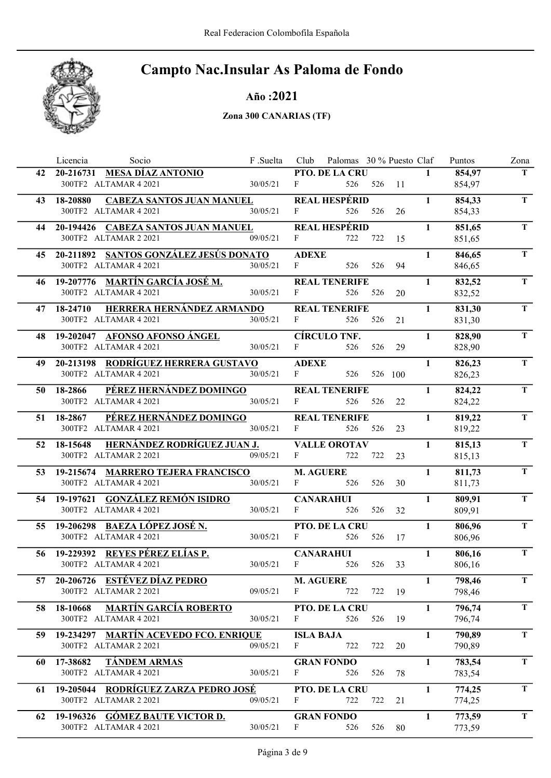

Año :2021

|    | Socio<br>Licencia                                              | F .Suelta | Club                  | Palomas 30 % Puesto Claf |         |    |              | Puntos           | Zona        |
|----|----------------------------------------------------------------|-----------|-----------------------|--------------------------|---------|----|--------------|------------------|-------------|
| 42 | 20-216731 MESA DÍAZ ANTONIO                                    |           |                       | PTO. DE LA CRU           |         |    | $\mathbf{1}$ | 854,97           | T.          |
|    | 300TF2 ALTAMAR 4 2021                                          | 30/05/21  | F                     | 526                      | 526 11  |    |              | 854,97           |             |
| 43 | <b>CABEZA SANTOS JUAN MANUEL</b><br>18-20880                   |           |                       | <b>REAL HESPÉRID</b>     |         |    | $\mathbf{1}$ | 854,33           | $\mathbf T$ |
|    | 300TF2 ALTAMAR 4 2021                                          | 30/05/21  | $\mathbf{F}$          | 526                      | 526     | 26 |              | 854,33           |             |
| 44 | 20-194426 CABEZA SANTOS JUAN MANUEL                            |           |                       | <b>REAL HESPÉRID</b>     |         |    | $\mathbf{1}$ | 851,65           | T.          |
|    | 300TF2 ALTAMAR 2 2021                                          | 09/05/21  | F                     | 722                      | 722     | 15 |              | 851,65           |             |
|    | 45 20-211892 SANTOS GONZÁLEZ JESÚS DONATO                      |           | <b>ADEXE</b>          |                          |         |    | $\mathbf{1}$ | 846,65           | T           |
|    | 300TF2 ALTAMAR 4 2021                                          | 30/05/21  | $\mathbf{F}$          | 526                      | 526     | 94 |              | 846,65           |             |
|    | 46 19-207776 MARTÍN GARCÍA JOSÉ M.                             |           |                       | <b>REAL TENERIFE</b>     |         |    | $\mathbf{1}$ | 832,52           | T.          |
|    | 300TF2 ALTAMAR 4 2021                                          | 30/05/21  | F                     | 526                      | 526     | 20 |              | 832,52           |             |
|    | HERRERA HERNÁNDEZ ARMANDO<br>47 18-24710                       |           |                       | <b>REAL TENERIFE</b>     |         |    | $\mathbf{1}$ | 831,30           | T.          |
|    | 300TF2 ALTAMAR 4 2021                                          | 30/05/21  | F                     | 526                      | 526     | 21 |              | 831,30           |             |
| 48 | 19-202047 AFONSO AFONSO ÁNGEL                                  |           |                       | <b>CÍRCULO TNF.</b>      |         |    | $\mathbf{1}$ | 828,90           | T.          |
|    | 300TF2 ALTAMAR 4 2021                                          | 30/05/21  | F                     | 526                      | 526     | 29 |              | 828,90           |             |
|    |                                                                |           |                       |                          |         |    |              |                  |             |
| 49 | 20-213198 RODRÍGUEZ HERRERA GUSTAVO<br>300TF2 ALTAMAR 4 2021   | 30/05/21  | <b>ADEXE</b><br>F     | 526                      | 526 100 |    | $\mathbf{1}$ | 826,23<br>826,23 | $\mathbf T$ |
|    |                                                                |           |                       |                          |         |    |              |                  |             |
| 50 | PÉREZ HERNÁNDEZ DOMINGO<br>18-2866<br>300TF2 ALTAMAR 4 2021    |           |                       | <b>REAL TENERIFE</b>     |         |    | $\mathbf{1}$ | 824,22           | $\mathbf T$ |
|    |                                                                | 30/05/21  | F                     | 526                      | 526     | 22 |              | 824,22           |             |
|    | PÉREZ HERNÁNDEZ DOMINGO<br>51 18-2867                          |           |                       | <b>REAL TENERIFE</b>     |         |    | $\mathbf{1}$ | 819,22           | $\mathbf T$ |
|    | 300TF2 ALTAMAR 4 2021                                          | 30/05/21  | F                     | 526                      | 526     | 23 |              | 819,22           |             |
|    | 52 18-15648 HERNÁNDEZ RODRÍGUEZ JUAN J.                        |           |                       | <b>VALLE OROTAV</b>      |         |    | $\mathbf{1}$ | 815,13           | T.          |
|    | 300TF2 ALTAMAR 2 2021                                          | 09/05/21  | F                     | 722                      | 722     | 23 |              | 815,13           |             |
| 53 | 19-215674 MARRERO TEJERA FRANCISCO                             |           | <b>M. AGUERE</b>      |                          |         |    | $\mathbf{1}$ | 811,73           | T.          |
|    | 300TF2 ALTAMAR 4 2021                                          | 30/05/21  | F                     | 526                      | 526     | 30 |              | 811,73           |             |
|    | 54 19-197621 GONZÁLEZ REMÓN ISIDRO                             |           |                       | <b>CANARAHUI</b>         |         |    | $\mathbf{1}$ | 809,91           | T           |
|    | 300TF2 ALTAMAR 4 2021                                          | 30/05/21  | $\mathbf{F}$          | 526                      | 526     | 32 |              | 809,91           |             |
|    | 55 19-206298 BAEZA LÓPEZ JOSÉ N.                               |           |                       | PTO. DE LA CRU           |         |    | $\mathbf{1}$ | 806,96           | T.          |
|    | 300TF2 ALTAMAR 4 2021                                          | 30/05/21  | F                     | 526                      | 526     | 17 |              | 806,96           |             |
| 56 | 19-229392 REYES PÉREZ ELÍAS P.                                 |           |                       | <b>CANARAHUI</b>         |         |    | $\mathbf{1}$ | 806,16           | $\mathbf T$ |
|    | 300TF2 ALTAMAR 4 2021                                          | 30/05/21  | F                     | 526                      | 526     | 33 |              | 806,16           |             |
|    | 57 20-206726 ESTÉVEZ DÍAZ PEDRO                                |           |                       | <b>M. AGUERE</b>         |         |    | $\mathbf{1}$ | 798,46           | T           |
|    | 300TF2 ALTAMAR 2 2021                                          | 09/05/21  | $\mathbf{F}$          | 722                      | 722     | 19 |              | 798,46           |             |
| 58 | <b>MARTÍN GARCÍA ROBERTO</b><br>18-10668                       |           |                       | PTO. DE LA CRU           |         |    | $\mathbf{1}$ | 796,74           | T           |
|    | 300TF2 ALTAMAR 4 2021                                          | 30/05/21  | F                     | 526                      | 526     | 19 |              | 796,74           |             |
|    |                                                                |           |                       |                          |         |    |              |                  | T           |
| 59 | 19-234297 MARTÍN ACEVEDO FCO. ENRIQUE<br>300TF2 ALTAMAR 2 2021 | 09/05/21  | <b>ISLA BAJA</b><br>F | 722                      | 722     | 20 | $\mathbf{1}$ | 790,89<br>790,89 |             |
|    |                                                                |           |                       |                          |         |    |              |                  |             |
| 60 | <b>TÁNDEM ARMAS</b><br>17-38682                                |           |                       | <b>GRAN FONDO</b>        |         |    | $\mathbf{1}$ | 783,54           | T           |
|    | 300TF2 ALTAMAR 4 2021                                          | 30/05/21  | F                     | 526                      | 526     | 78 |              | 783,54           |             |
| 61 | 19-205044 RODRÍGUEZ ZARZA PEDRO JOSÉ                           |           |                       | PTO. DE LA CRU           |         |    | 1            | 774,25           | T.          |
|    | 300TF2 ALTAMAR 2 2021                                          | 09/05/21  | F                     | 722                      | 722     | 21 |              | 774,25           |             |
| 62 | 19-196326 GÓMEZ BAUTE VICTOR D.                                |           |                       | <b>GRAN FONDO</b>        |         |    | $\mathbf{1}$ | 773,59           | T.          |
|    | 300TF2 ALTAMAR 4 2021                                          | 30/05/21  | F                     | 526                      | 526     | 80 |              | 773,59           |             |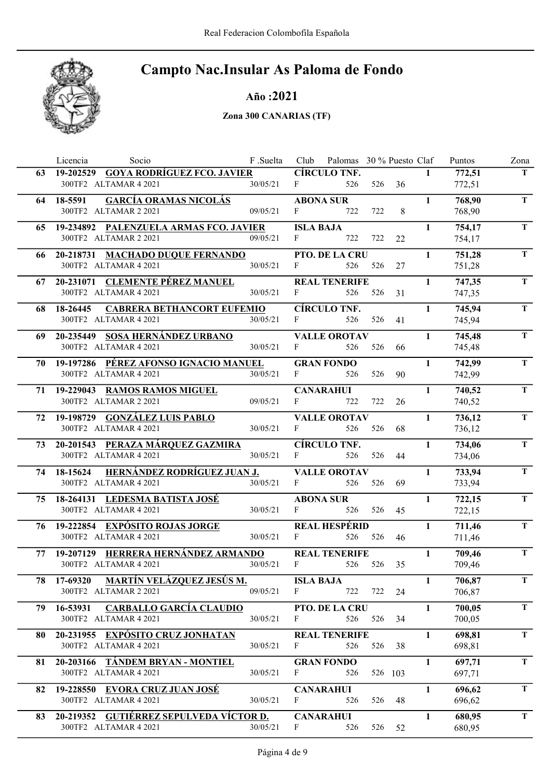

#### Año :2021

|    | Licencia<br>Socio                                              | F .Suelta |                  | Club Palomas 30 % Puesto Claf |         |    |              | Puntos           | Zona        |
|----|----------------------------------------------------------------|-----------|------------------|-------------------------------|---------|----|--------------|------------------|-------------|
| 63 | 19-202529 GOYA RODRÍGUEZ FCO. JAVIER                           |           |                  | <b>CÍRCULO TNF.</b>           |         |    | $\mathbf{1}$ | 772,51           | T.          |
|    | 300TF2 ALTAMAR 4 2021                                          | 30/05/21  | F                | 526                           | 526     | 36 |              | 772,51           |             |
| 64 | <b>GARCÍA ORAMAS NICOLÁS</b><br>18-5591                        |           |                  | <b>ABONA SUR</b>              |         |    | $\mathbf{1}$ | 768,90           | $\mathbf T$ |
|    | 300TF2 ALTAMAR 2 2021                                          | 09/05/21  | $\mathbf{F}$     | 722                           | 722     | 8  |              | 768,90           |             |
|    | 65 19-234892 PALENZUELA ARMAS FCO. JAVIER                      |           | <b>ISLA BAJA</b> |                               |         |    | $\mathbf{1}$ | 754,17           | T.          |
|    | 300TF2 ALTAMAR 2 2021                                          | 09/05/21  | F                | 722                           | 722     | 22 |              | 754,17           |             |
|    | 66 20-218731 MACHADO DUQUE FERNANDO                            |           |                  | PTO. DE LA CRU                |         |    | $\mathbf{1}$ | 751,28           | T           |
|    | 300TF2 ALTAMAR 4 2021                                          | 30/05/21  | $\mathbf{F}$     | 526                           | 526     | 27 |              | 751,28           |             |
|    | 67 20-231071 CLEMENTE PÉREZ MANUEL                             |           |                  | <b>REAL TENERIFE</b>          |         |    | $\mathbf{1}$ | 747,35           | T.          |
|    | 300TF2 ALTAMAR 4 2021                                          | 30/05/21  | F                | 526                           | 526     | 31 |              | 747,35           |             |
| 68 | <b>CABRERA BETHANCORT EUFEMIO</b><br>18-26445                  |           |                  | <b>CÍRCULO TNF.</b>           |         |    | $\mathbf{1}$ | 745,94           | T           |
|    | 300TF2 ALTAMAR 4 2021                                          | 30/05/21  | $F \sim 1$       | 526                           | 526     | 41 |              | 745,94           |             |
| 69 | 20-235449 SOSA HERNÁNDEZ URBANO                                |           |                  | <b>VALLE OROTAV</b>           |         |    | $\mathbf{1}$ | 745,48           | T           |
|    | 300TF2 ALTAMAR 4 2021                                          | 30/05/21  | $\mathbf{F}$     | 526                           | 526     | 66 |              | 745,48           |             |
|    |                                                                |           |                  |                               |         |    |              |                  | $\mathbf T$ |
| 70 | 19-197286 PÉREZ AFONSO IGNACIO MANUEL<br>300TF2 ALTAMAR 4 2021 | 30/05/21  | F                | <b>GRAN FONDO</b><br>526      | 526     | 90 | $\mathbf{1}$ | 742,99<br>742,99 |             |
|    |                                                                |           |                  |                               |         |    |              |                  |             |
|    | 71 19-229043 RAMOS RAMOS MIGUEL                                |           |                  | <b>CANARAHUI</b>              |         |    | $\mathbf{1}$ | 740,52           | $\mathbf T$ |
|    | 300TF2 ALTAMAR 2 2021                                          | 09/05/21  | F                | 722                           | 722     | 26 |              | 740,52           |             |
| 72 | 19-198729 GONZÁLEZ LUIS PABLO                                  |           |                  | <b>VALLE OROTAV</b>           |         |    | $\mathbf{1}$ | 736,12           | $\mathbf T$ |
|    | 300TF2 ALTAMAR 4 2021                                          | 30/05/21  | F                | 526                           | 526     | 68 |              | 736,12           |             |
|    | 73 20-201543 PERAZA MÁRQUEZ GAZMIRA                            |           |                  | <b>CÍRCULO TNF.</b>           |         |    | $\mathbf{1}$ | 734,06           | T           |
|    | 300TF2 ALTAMAR 4 2021                                          | 30/05/21  | F                | 526                           | 526     | 44 |              | 734,06           |             |
|    | HERNÁNDEZ RODRÍGUEZ JUAN J.<br>74 18-15624                     |           |                  | <b>VALLE OROTAV</b>           |         |    | $\mathbf{1}$ | 733,94           | T.          |
|    | 300TF2 ALTAMAR 4 2021                                          | 30/05/21  | F                | 526                           | 526     | 69 |              | 733,94           |             |
|    | 75 18-264131 LEDESMA BATISTA JOSÉ                              |           |                  | <b>ABONA SUR</b>              |         |    | $\mathbf{1}$ | 722,15           | T           |
|    | 300TF2 ALTAMAR 4 2021                                          | 30/05/21  | $\mathbf{F}$     | 526                           | 526     | 45 |              | 722,15           |             |
|    | 76 19-222854 EXPÓSITO ROJAS JORGE                              |           |                  | <b>REAL HESPÉRID</b>          |         |    | $\mathbf{1}$ | 711,46           | T.          |
|    | 300TF2 ALTAMAR 4 2021                                          | 30/05/21  | F                | 526                           | 526     | 46 |              | 711,46           |             |
| 77 | 19-207129 HERRERA HERNÁNDEZ ARMANDO                            |           |                  | <b>REAL TENERIFE</b>          |         |    | $\mathbf{1}$ | 709,46           | $\mathbf T$ |
|    | 300TF2 ALTAMAR 4 2021                                          | 30/05/21  | $\mathbf{F}$     | 526                           | 526     | 35 |              | 709,46           |             |
| 78 | <u>17-69320 MARTÍN VELÁZQUEZ JESÚS M.</u>                      |           | ISLA BAJA        |                               |         |    | $\mathbf{1}$ | 706,87           | T.          |
|    | 300TF2 ALTAMAR 2 2021                                          | 09/05/21  | $\mathbf{F}$     | 722                           | 722     | 24 |              | 706,87           |             |
| 79 | <b>CARBALLO GARCÍA CLAUDIO</b><br>16-53931                     |           |                  | PTO. DE LA CRU                |         |    | $\mathbf{1}$ | 700,05           | T           |
|    | 300TF2 ALTAMAR 4 2021                                          | 30/05/21  | F                | 526                           | 526     | 34 |              | 700,05           |             |
|    | 20-231955 EXPÓSITO CRUZ JONHATAN                               |           |                  | <b>REAL TENERIFE</b>          |         |    | $\mathbf{1}$ | 698,81           | T           |
| 80 | 300TF2 ALTAMAR 4 2021                                          | 30/05/21  | F                | 526                           | 526     | 38 |              | 698,81           |             |
|    |                                                                |           |                  |                               |         |    |              |                  |             |
| 81 | 20-203166 TÁNDEM BRYAN - MONTIEL<br>300TF2 ALTAMAR 4 2021      |           | F                | <b>GRAN FONDO</b>             |         |    | $\mathbf{1}$ | 697,71           | T.          |
|    |                                                                | 30/05/21  |                  | 526                           | 526 103 |    |              | 697,71           |             |
| 82 | 19-228550 EVORA CRUZ JUAN JOSÉ                                 |           |                  | <b>CANARAHUI</b>              |         |    | 1            | 696,62           | T.          |
|    | 300TF2 ALTAMAR 4 2021                                          | 30/05/21  | F                | 526                           | 526     | 48 |              | 696,62           |             |
| 83 | 20-219352 GUTIÉRREZ SEPULVEDA VÍCTOR D.                        |           |                  | <b>CANARAHUI</b>              |         |    | $\mathbf{1}$ | 680,95           | T.          |
|    | 300TF2 ALTAMAR 4 2021                                          | 30/05/21  | $\mathbf{F}$     | 526                           | 526     | 52 |              | 680,95           |             |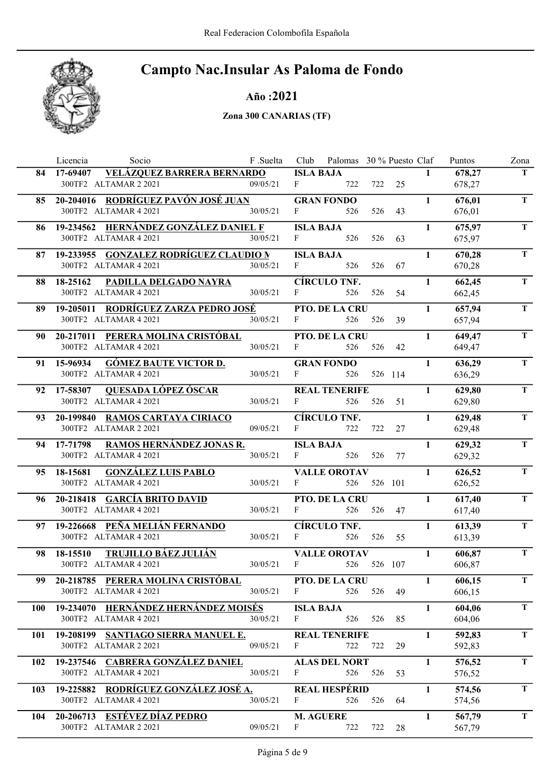

#### Año :2021

|            | Licencia<br>Socio                                                | F .Suelta |                  | Club Palomas 30 % Puesto Claf |     |         |              | Puntos           | Zona        |
|------------|------------------------------------------------------------------|-----------|------------------|-------------------------------|-----|---------|--------------|------------------|-------------|
|            | <b>VELÁZQUEZ BARRERA BERNARDO</b><br>84 17-69407                 |           | <b>ISLA BAJA</b> |                               |     |         | $\mathbf{1}$ | 678,27           | T.          |
|            | 300TF2 ALTAMAR 2 2021                                            | 09/05/21  | F                | 722                           |     | 722 25  |              | 678,27           |             |
|            | 85 20-204016 RODRÍGUEZ PAVÓN JOSÉ JUAN                           |           |                  | <b>GRAN FONDO</b>             |     |         | $\mathbf{1}$ | 676,01           | $\mathbf T$ |
|            | 300TF2 ALTAMAR 4 2021                                            | 30/05/21  | $\mathbf{F}$     | 526                           | 526 | 43      |              | 676,01           |             |
|            | 86 19-234562 HERNÁNDEZ GONZÁLEZ DANIEL F                         |           | <b>ISLA BAJA</b> |                               |     |         | $\mathbf{1}$ | 675,97           | T.          |
|            | 300TF2 ALTAMAR 4 2021                                            | 30/05/21  | F                | 526                           | 526 | 63      |              | 675,97           |             |
|            | 87 19-233955 GONZALEZ RODRÍGUEZ CLAUDIO N                        |           | <b>ISLA BAJA</b> |                               |     |         | $\mathbf{1}$ | 670,28           | T           |
|            | 300TF2 ALTAMAR 4 2021                                            | 30/05/21  | $\mathbf{F}$     | 526                           | 526 | 67      |              | 670,28           |             |
| 88         | 18-25162<br>PADILLA DELGADO NAYRA                                |           |                  | <b>CÍRCULO TNF.</b>           |     |         | $\mathbf{1}$ | 662,45           | T.          |
|            | 300TF2 ALTAMAR 4 2021                                            | 30/05/21  | F                | 526                           | 526 | 54      |              | 662,45           |             |
| 89         | 19-205011 RODRÍGUEZ ZARZA PEDRO JOSÉ                             |           |                  | PTO. DE LA CRU                |     |         | $\mathbf{1}$ | 657,94           | T           |
|            | 300TF2 ALTAMAR 4 2021                                            | 30/05/21  | $F \sim 1$       | 526                           | 526 | 39      |              | 657,94           |             |
| 90         | 20-217011 PERERA MOLINA CRISTÓBAL                                |           |                  | PTO. DE LA CRU                |     |         | $\mathbf{1}$ | 649,47           | T.          |
|            | 300TF2 ALTAMAR 4 2021                                            | 30/05/21  | F                | 526                           | 526 | 42      |              | 649,47           |             |
| 91         | <b>GÓMEZ BAUTE VICTOR D.</b><br>15-96934                         |           |                  | <b>GRAN FONDO</b>             |     |         | $\mathbf{1}$ | 636,29           | $\mathbf T$ |
|            | 300TF2 ALTAMAR 4 2021                                            | 30/05/21  | F                | 526                           |     | 526 114 |              | 636,29           |             |
| 92         | QUESADA LÓPEZ ÓSCAR<br>17-58307                                  |           |                  | <b>REAL TENERIFE</b>          |     |         | $\mathbf{1}$ | 629,80           | $\mathbf T$ |
|            | 300TF2 ALTAMAR 4 2021                                            | 30/05/21  | F                | 526                           | 526 | 51      |              | 629,80           |             |
| 93.        | 20-199840 RAMOS CARTAYA CIRIACO                                  |           |                  | <b>CÍRCULO TNF.</b>           |     |         | $\mathbf{1}$ | 629,48           | $\mathbf T$ |
|            | 300TF2 ALTAMAR 2 2021                                            | 09/05/21  | $F \sim 1$       | 722                           | 722 | 27      |              | 629,48           |             |
|            | RAMOS HERNÁNDEZ JONAS R.<br>94 17-71798                          |           | <b>ISLA BAJA</b> |                               |     |         | $\mathbf{1}$ |                  | T.          |
|            | 300TF2 ALTAMAR 4 2021                                            | 30/05/21  | F                | 526                           | 526 | 77      |              | 629,32<br>629,32 |             |
|            |                                                                  |           |                  |                               |     |         |              |                  | T.          |
| 95         | <b>GONZÁLEZ LUIS PABLO</b><br>18-15681<br>300TF2 ALTAMAR 4 2021  | 30/05/21  | F                | <b>VALLE OROTAV</b><br>526    |     | 526 101 | $\mathbf{1}$ | 626,52<br>626,52 |             |
|            |                                                                  |           |                  |                               |     |         |              |                  |             |
|            | 96 20-218418 GARCÍA BRITO DAVID<br>300TF2 ALTAMAR 4 2021         | 30/05/21  | F                | PTO. DE LA CRU<br>526         | 526 | 47      | $\mathbf{1}$ | 617,40<br>617,40 | T           |
|            |                                                                  |           |                  |                               |     |         |              |                  |             |
|            | 97 19-226668 PEÑA MELIÁN FERNANDO<br>300TF2 ALTAMAR 4 2021       | 30/05/21  | F                | <b>CÍRCULO TNF.</b><br>526    | 526 | 55      | $\mathbf{1}$ | 613,39           | T.          |
|            |                                                                  |           |                  |                               |     |         |              | 613,39           |             |
| 98         | <b>TRUJILLO BÁEZ JULIÁN</b><br>18-15510<br>300TF2 ALTAMAR 4 2021 | 30/05/21  | F                | <b>VALLE OROTAV</b><br>526    |     | 526 107 | $\mathbf{1}$ | 606,87           | $\mathbf T$ |
|            |                                                                  |           |                  |                               |     |         |              | 606,87           |             |
| 99.        | 20-218785 PERERA MOLINA CRISTÓBAL                                |           |                  | <b>PTO. DE LA CRU</b>         |     |         | $\mathbf{1}$ | 606,15           | T.          |
|            | 300TF2 ALTAMAR 4 2021                                            | 30/05/21  | F                | 526                           | 526 | 49      |              | 606,15           |             |
| <b>100</b> | 19-234070 HERNÁNDEZ HERNÁNDEZ MOISÉS                             |           | <b>ISLA BAJA</b> |                               |     |         | $\mathbf{1}$ | 604,06           | T           |
|            | 300TF2 ALTAMAR 4 2021                                            | 30/05/21  | F                | 526                           | 526 | 85      |              | 604,06           |             |
| 101        | 19-208199 SANTIAGO SIERRA MANUEL E.                              |           |                  | <b>REAL TENERIFE</b>          |     |         | $\mathbf{1}$ | 592,83           | T           |
|            | 300TF2 ALTAMAR 2 2021                                            | 09/05/21  | F                | 722                           | 722 | 29      |              | 592,83           |             |
| 102        | 19-237546 CABRERA GONZÁLEZ DANIEL                                |           |                  | <b>ALAS DEL NORT</b>          |     |         | $\mathbf{1}$ | 576,52           | T.          |
|            | 300TF2 ALTAMAR 4 2021                                            | 30/05/21  | F                | 526                           | 526 | 53      |              | 576,52           |             |
| 103        | 19-225882 RODRÍGUEZ GONZÁLEZ JOSÉ A.                             |           |                  | <b>REAL HESPÉRID</b>          |     |         | 1            | 574,56           | T.          |
|            | 300TF2 ALTAMAR 4 2021                                            | 30/05/21  | F                | 526                           | 526 | 64      |              | 574,56           |             |
| 104        | 20-206713 ESTÉVEZ DÍAZ PEDRO                                     |           |                  | <b>M. AGUERE</b>              |     |         | $\mathbf{1}$ | 567,79           | T.          |
|            | 300TF2 ALTAMAR 2 2021                                            | 09/05/21  | F                | 722                           | 722 | 28      |              | 567,79           |             |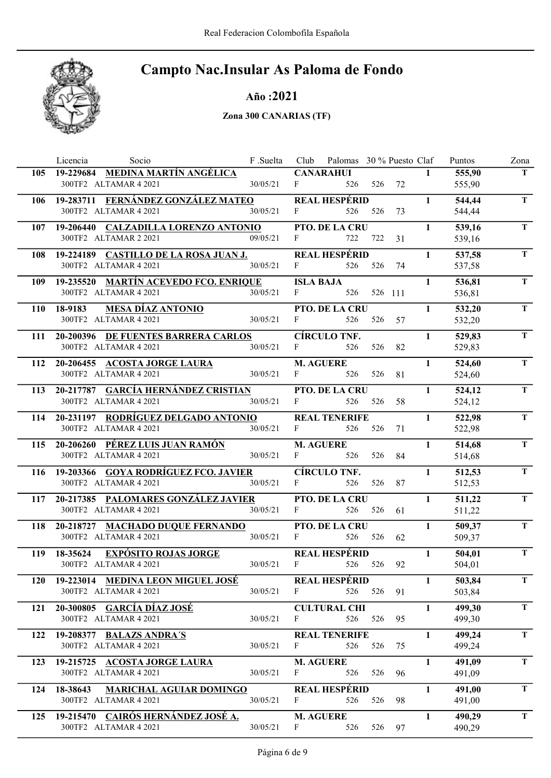

#### Año :2021

|            | Licencia<br>Socio                                            | F .Suelta |                  | Club Palomas 30 % Puesto Claf |            |        |              | Puntos           | Zona        |
|------------|--------------------------------------------------------------|-----------|------------------|-------------------------------|------------|--------|--------------|------------------|-------------|
|            | 105 19-229684 MEDINA MARTÍN ANGÉLICA                         |           |                  | <b>CANARAHUI</b>              |            |        | $\mathbf{1}$ | 555,90           | T.          |
|            | 300TF2 ALTAMAR 4 2021                                        | 30/05/21  | F                | 526                           |            | 526 72 |              | 555,90           |             |
| 106        | 19-283711 FERNÁNDEZ GONZÁLEZ MATEO                           |           |                  | <b>REAL HESPÉRID</b>          |            |        | $\mathbf{1}$ | 544,44           | $\mathbf T$ |
|            | 300TF2 ALTAMAR 4 2021                                        | 30/05/21  | $\mathbf{F}$     | 526                           | 526        | 73     |              | 544,44           |             |
| 107        | 19-206440 CALZADILLA LORENZO ANTONIO                         |           |                  | PTO. DE LA CRU                |            |        | $\mathbf{1}$ | 539,16           | T.          |
|            | 300TF2 ALTAMAR 2 2021                                        | 09/05/21  | F                | 722                           | 722        | 31     |              | 539,16           |             |
|            | 108 19-224189 CASTILLO DE LA ROSA JUAN J.                    |           |                  | <b>REAL HESPÉRID</b>          |            |        | $\mathbf{1}$ | 537,58           | T           |
|            | 300TF2 ALTAMAR 4 2021                                        | 30/05/21  | F                | 526                           | 526        | 74     |              | 537,58           |             |
| 109        | 19-235520 MARTÍN ACEVEDO FCO. ENRIQUE                        |           | <b>ISLA BAJA</b> |                               |            |        | $\mathbf{1}$ | 536,81           | T.          |
|            | 300TF2 ALTAMAR 4 2021                                        | 30/05/21  | $\mathbf{F}$     | 526                           | 526 111    |        |              | 536,81           |             |
|            |                                                              |           |                  |                               |            |        |              |                  | T           |
| <b>110</b> | <b>MESA DÍAZ ANTONIO</b><br>18-9183<br>300TF2 ALTAMAR 4 2021 | 30/05/21  | F                | PTO. DE LA CRU<br>526         | 526        | 57     | $\mathbf{1}$ | 532,20<br>532,20 |             |
|            |                                                              |           |                  |                               |            |        |              |                  |             |
|            | 111 20-200396 DE FUENTES BARRERA CARLOS                      |           |                  | <b>CÍRCULO TNF.</b>           |            |        | $\mathbf{1}$ | 529,83           | T           |
|            | 300TF2 ALTAMAR 4 2021                                        | 30/05/21  | $F = 1$          | 526                           | 526        | 82     |              | 529,83           |             |
| 112        | 20-206455 ACOSTA JORGE LAURA                                 |           |                  | <b>M. AGUERE</b>              |            |        | $\mathbf{1}$ | 524,60           | $\mathbf T$ |
|            | 300TF2 ALTAMAR 4 2021                                        | 30/05/21  | F                | 526                           | 526        | 81     |              | 524,60           |             |
| 113        | 20-217787 GARCÍA HERNÁNDEZ CRISTIAN                          |           |                  | PTO. DE LA CRU                |            |        | $\mathbf{1}$ | 524,12           | $\mathbf T$ |
|            | 300TF2 ALTAMAR 4 2021                                        | 30/05/21  | F                | 526                           | 526        | 58     |              | 524,12           |             |
| 114        | 20-231197 RODRÍGUEZ DELGADO ANTONIO                          |           |                  | <b>REAL TENERIFE</b>          |            |        | $\mathbf{1}$ | 522,98           | T.          |
|            | 300TF2 ALTAMAR 4 2021                                        | 30/05/21  | $\mathbf{F}$     | 526                           | 526        | 71     |              | 522,98           |             |
| 115        | 20-206260 PÉREZ LUIS JUAN RAMÓN                              |           |                  | <b>M. AGUERE</b>              |            |        | $\mathbf{1}$ | 514,68           | T           |
|            | 300TF2 ALTAMAR 4 2021                                        | 30/05/21  | $F -$            | 526                           | 526        | 84     |              | 514,68           |             |
|            | 116 19-203366 GOYA RODRÍGUEZ FCO. JAVIER                     |           |                  | <b>CÍRCULO TNF.</b>           |            |        | $\mathbf{1}$ | 512,53           | T.          |
|            | 300TF2 ALTAMAR 4 2021                                        | 30/05/21  | F                | 526                           | 526        | 87     |              | 512,53           |             |
|            |                                                              |           |                  |                               |            |        | $\mathbf{1}$ |                  | T           |
| 117        | 20-217385 PALOMARES GONZÁLEZ JAVIER<br>300TF2 ALTAMAR 4 2021 | 30/05/21  | $\mathbf{F}$     | PTO. DE LA CRU<br>526         | 526        | 61     |              | 511,22<br>511,22 |             |
|            |                                                              |           |                  |                               |            |        |              |                  |             |
| 118        | 20-218727 MACHADO DUQUE FERNANDO                             |           |                  | PTO. DE LA CRU                |            |        | $\mathbf{1}$ | 509,37           | T.          |
|            | 300TF2 ALTAMAR 4 2021                                        | 30/05/21  | F                | 526                           | 526        | 62     |              | 509,37           |             |
| 119        | 18-35624 EXPÓSITO ROJAS JORGE                                |           |                  | <b>REAL HESPÉRID</b>          |            |        | $\mathbf{1}$ | 504,01           | $\mathbf T$ |
|            | 300TF2 ALTAMAR 4 2021                                        | 30/05/21  | $\mathbf{F}$     | 526                           | 526        | 92     |              | 504,01           |             |
| <b>120</b> | 19-223014 MEDINA LEON MIGUEL JOSÉ                            |           |                  | REAL HESPÉRID                 |            |        | $\mathbf{1}$ | 503,84           | T.          |
|            | 300TF2 ALTAMAR 4 2021                                        | 30/05/21  | F                |                               | 526 526 91 |        |              | 503,84           |             |
| 121        | 20-300805 GARCÍA DÍAZ JOSÉ                                   |           |                  | <b>CULTURAL CHI</b>           |            |        | $\mathbf{1}$ | 499,30           | T           |
|            | 300TF2 ALTAMAR 4 2021                                        | 30/05/21  | $\mathbf{F}$     | 526                           | 526        | 95     |              | 499,30           |             |
| 122        | 19-208377 BALAZS ANDRA'S                                     |           |                  | <b>REAL TENERIFE</b>          |            |        | $\mathbf{1}$ | 499,24           | T.          |
|            | 300TF2 ALTAMAR 4 2021                                        | 30/05/21  | $\mathbf{F}$     | 526                           | 526        | 75     |              | 499,24           |             |
| 123        | 19-215725 ACOSTA JORGE LAURA                                 |           |                  | <b>M. AGUERE</b>              |            |        | $\mathbf{1}$ | 491,09           | T.          |
|            | 300TF2 ALTAMAR 4 2021                                        | 30/05/21  | F                | 526                           | 526        | 96     |              | 491,09           |             |
|            |                                                              |           |                  |                               |            |        |              |                  | T.          |
| 124        | 18-38643 MARICHAL AGUIAR DOMINGO<br>300TF2 ALTAMAR 4 2021    | 30/05/21  | F                | <b>REAL HESPÉRID</b><br>526   | 526        | 98     | $\mathbf{1}$ | 491,00<br>491,00 |             |
|            |                                                              |           |                  |                               |            |        |              |                  |             |
| 125        | 19-215470 CAIRÓS HERNÁNDEZ JOSÉ A.                           |           |                  | <b>M. AGUERE</b>              |            |        | $\mathbf{1}$ | 490,29           | T.          |
|            | 300TF2 ALTAMAR 4 2021                                        | 30/05/21  | F                | 526                           | 526        | 97     |              | 490,29           |             |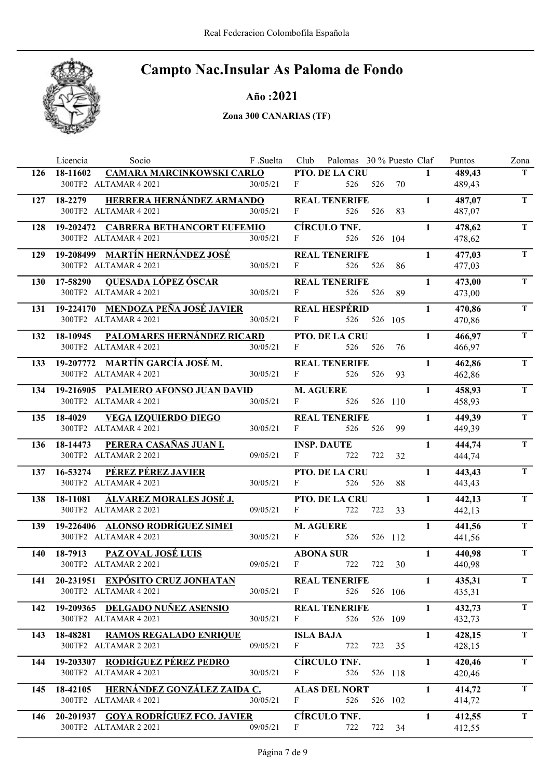

#### Año :2021

|            | Licencia<br>Socio                                               | F .Suelta | Club             | Palomas 30 % Puesto Claf |             |         |              | Puntos           | Zona        |
|------------|-----------------------------------------------------------------|-----------|------------------|--------------------------|-------------|---------|--------------|------------------|-------------|
| 126        | CAMARA MARCINKOWSKI CARLO<br>18-11602                           |           |                  | PTO. DE LA CRU           |             |         | $\mathbf{1}$ | 489,43           | T.          |
|            | 300TF2 ALTAMAR 4 2021                                           | 30/05/21  | F                | 526                      | 526         | 70      |              | 489,43           |             |
|            | HERRERA HERNÁNDEZ ARMANDO<br>127 18-2279                        |           |                  | <b>REAL TENERIFE</b>     |             |         | $\mathbf{1}$ | 487,07           | $\mathbf T$ |
|            | 300TF2 ALTAMAR 4 2021                                           | 30/05/21  | F                | 526                      | 526         | 83      |              | 487,07           |             |
| 128        | 19-202472 CABRERA BETHANCORT EUFEMIO                            |           |                  | <b>CÍRCULO TNF.</b>      |             |         | $\mathbf{1}$ | 478,62           | T.          |
|            | 300TF2 ALTAMAR 4 2021                                           | 30/05/21  | F                | 526                      |             | 526 104 |              | 478,62           |             |
| 129        | 19-208499 MARTÍN HERNÁNDEZ JOSÉ                                 |           |                  | <b>REAL TENERIFE</b>     |             |         | $\mathbf{1}$ | 477,03           | T.          |
|            | 300TF2 ALTAMAR 4 2021                                           | 30/05/21  | F                | 526                      | 526         | 86      |              | 477,03           |             |
| <b>130</b> | 17-58290<br><b>QUESADA LÓPEZ ÓSCAR</b>                          |           |                  | <b>REAL TENERIFE</b>     |             |         | $\mathbf{1}$ | 473,00           | T.          |
|            | 300TF2 ALTAMAR 4 2021                                           | 30/05/21  | F                | 526                      | 526         | 89      |              | 473,00           |             |
|            | 19-224170 MENDOZA PEÑA JOSÉ JAVIER                              |           |                  | <b>REAL HESPÉRID</b>     |             |         | $\mathbf{1}$ | 470,86           | T.          |
| 131        | 300TF2 ALTAMAR 4 2021                                           | 30/05/21  | $F \sim 1$       | 526                      | 526 105     |         |              | 470,86           |             |
|            |                                                                 |           |                  |                          |             |         |              |                  |             |
| 132        | PALOMARES HERNÁNDEZ RICARD<br>18-10945<br>300TF2 ALTAMAR 4 2021 | 30/05/21  | F                | PTO. DE LA CRU<br>526    | 526         | 76      | $\mathbf{1}$ | 466,97           | T           |
|            |                                                                 |           |                  |                          |             |         |              | 466,97           |             |
| 133        | 19-207772 MARTÍN GARCÍA JOSÉ M.                                 |           |                  | <b>REAL TENERIFE</b>     |             |         | $\mathbf{1}$ | 462,86           | T           |
|            | 300TF2 ALTAMAR 4 2021                                           | 30/05/21  | $\mathbf{F}$     | 526                      | 526         | 93      |              | 462,86           |             |
| 134        | 19-216905 PALMERO AFONSO JUAN DAVID                             |           |                  | <b>M. AGUERE</b>         |             |         | $\mathbf{1}$ | 458,93           | $\mathbf T$ |
|            | 300TF2 ALTAMAR 4 2021                                           | 30/05/21  | $F -$            | 526                      |             | 526 110 |              | 458,93           |             |
|            | 135 18-4029<br><b>VEGA IZQUIERDO DIEGO</b>                      |           |                  | <b>REAL TENERIFE</b>     |             |         | $\mathbf{1}$ | 449,39           | T.          |
|            | 300TF2 ALTAMAR 4 2021                                           | 30/05/21  | $\mathbf{F}$     | 526                      | 526         | 99      |              | 449,39           |             |
|            | 136 18-14473 PERERA CASAÑAS JUAN I.                             |           |                  | <b>INSP. DAUTE</b>       |             |         | $\mathbf{1}$ | 444,74           | T.          |
|            | 300TF2 ALTAMAR 2 2021                                           | 09/05/21  | F                | 722                      | 722         | 32      |              | 444,74           |             |
| 137        | PÉREZ PÉREZ JAVIER<br>16-53274                                  |           |                  | PTO. DE LA CRU           |             |         | $\mathbf{1}$ | 443,43           | $\mathbf T$ |
|            | 300TF2 ALTAMAR 4 2021                                           | 30/05/21  | F                | 526                      | 526         | 88      |              | 443,43           |             |
|            | 138 18-11081<br>ÁLVAREZ MORALES JOSÉ J.                         |           |                  | PTO. DE LA CRU           |             |         | $\mathbf{1}$ | 442,13           | T.          |
|            | 300TF2 ALTAMAR 2 2021                                           | 09/05/21  | F                | 722                      | 722         | 33      |              | 442,13           |             |
| 139        | 19-226406 ALONSO RODRÍGUEZ SIMEI                                |           |                  | <b>M. AGUERE</b>         |             |         | $\mathbf{1}$ | 441,56           | T.          |
|            | 300TF2 ALTAMAR 4 2021                                           | 30/05/21  | F                | 526                      | 526 112     |         |              | 441,56           |             |
|            |                                                                 |           |                  |                          |             |         | $\mathbf{1}$ |                  | $\mathbf T$ |
| 140        | 18-7913<br>PAZ OVAL JOSÉ LUIS<br>300TF2 ALTAMAR 2 2021          | 09/05/21  | $\mathbf{F}$     | <b>ABONA SUR</b><br>722  | 722         | 30      |              | 440,98<br>440,98 |             |
|            |                                                                 |           |                  |                          |             |         |              |                  |             |
|            | 141 20-231951 EXPÓSITO CRUZ JONHATAN<br>300TF2 ALTAMAR 4 2021   | 30/05/21  | $\mathbf{F}$     | <b>REAL TENERIFE</b>     | 526 526 106 |         | $\mathbf{1}$ | 435,31<br>435,31 | T.          |
|            |                                                                 |           |                  |                          |             |         |              |                  |             |
| 142        | 19-209365 DELGADO NUÑEZ ASENSIO                                 |           |                  | <b>REAL TENERIFE</b>     |             |         | $\mathbf{1}$ | 432,73           | T           |
|            | 300TF2 ALTAMAR 4 2021                                           | 30/05/21  | F                | 526                      |             | 526 109 |              | 432,73           |             |
| 143        | 18-48281<br><b>RAMOS REGALADO ENRIQUE</b>                       |           | <b>ISLA BAJA</b> |                          |             |         | $\mathbf{1}$ | 428,15           | T.          |
|            | 300TF2 ALTAMAR 2 2021                                           | 09/05/21  | $\mathbf{F}$     | 722                      |             | 722 35  |              | 428,15           |             |
| 144        | 19-203307 RODRÍGUEZ PÉREZ PEDRO                                 |           |                  | <b>CÍRCULO TNF.</b>      |             |         | $\mathbf{1}$ | 420,46           | T.          |
|            | 300TF2 ALTAMAR 4 2021                                           | 30/05/21  | F                | 526                      | 526 118     |         |              | 420,46           |             |
| 145        | 18-42105 HERNÁNDEZ GONZÁLEZ ZAIDA C.                            |           |                  | <b>ALAS DEL NORT</b>     |             |         | $\mathbf{1}$ | 414,72           | T.          |
|            | 300TF2 ALTAMAR 4 2021                                           | 30/05/21  | F                | 526                      | 526 102     |         |              | 414,72           |             |
| 146        | 20-201937 GOYA RODRÍGUEZ FCO. JAVIER                            |           |                  | <b>CÍRCULO TNF.</b>      |             |         | $\mathbf{1}$ | 412,55           | T.          |
|            | 300TF2 ALTAMAR 2 2021                                           | 09/05/21  | F                | 722                      |             | 722 34  |              | 412,55           |             |
|            |                                                                 |           |                  |                          |             |         |              |                  |             |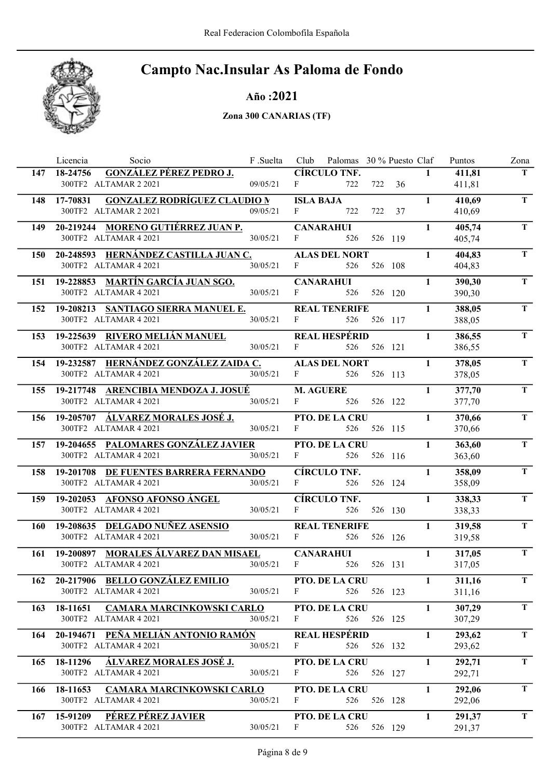

Año :2021

|     | Socio<br>Licencia                                                     | F .Suelta |                               | Club Palomas 30 % Puesto Claf |             |         |              | Puntos           | Zona        |
|-----|-----------------------------------------------------------------------|-----------|-------------------------------|-------------------------------|-------------|---------|--------------|------------------|-------------|
|     | <b>GONZÁLEZ PÉREZ PEDRO J.</b><br>147 18-24756                        |           |                               | <b>CÍRCULO TNF.</b>           |             |         | $\mathbf{1}$ | 411,81           | T           |
|     | 300TF2 ALTAMAR 2 2021                                                 | 09/05/21  | F                             | 722                           |             | 722 36  |              | 411,81           |             |
|     | <b>GONZALEZ RODRÍGUEZ CLAUDIO N</b><br>148 17-70831                   |           |                               | <b>ISLA BAJA</b>              |             |         | $\mathbf{1}$ | 410,69           | T.          |
|     | 300TF2 ALTAMAR 2 2021                                                 | 09/05/21  | $F \sim$                      | 722                           | 722         | 37      |              | 410,69           |             |
| 149 | 20-219244 MORENO GUTIÉRREZ JUAN P.                                    |           |                               | <b>CANARAHUI</b>              |             |         | $\mathbf{1}$ | 405,74           | T.          |
|     | 300TF2 ALTAMAR 4 2021                                                 | 30/05/21  | F                             | 526                           |             | 526 119 |              | 405,74           |             |
|     | 150 20-248593 HERNÁNDEZ CASTILLA JUAN C.                              |           |                               | <b>ALAS DEL NORT</b>          |             |         | $\mathbf{1}$ | 404,83           | T.          |
|     | 300TF2 ALTAMAR 4 2021                                                 | 30/05/21  | $\mathbf{F}$ and $\mathbf{F}$ | 526                           |             | 526 108 |              | 404,83           |             |
|     | 151 19-228853 MARTÍN GARCÍA JUAN SGO.                                 |           |                               | <b>CANARAHUI</b>              |             |         | $\mathbf{1}$ | 390,30           | T.          |
|     | 300TF2 ALTAMAR 4 2021                                                 | 30/05/21  | $\mathbf{F}$                  | 526                           |             | 526 120 |              | 390,30           |             |
| 152 | 19-208213 SANTIAGO SIERRA MANUEL E.                                   |           |                               | <b>REAL TENERIFE</b>          |             |         | $\mathbf{1}$ | 388,05           | T           |
|     | 300TF2 ALTAMAR 4 2021                                                 | 30/05/21  | $\mathbf{F}$ and $\mathbf{F}$ |                               | 526 526 117 |         |              | 388,05           |             |
|     |                                                                       |           |                               |                               |             |         |              |                  |             |
| 153 | 19-225639 RIVERO MELIÁN MANUEL<br>300TF2 ALTAMAR 4 2021               | 30/05/21  | F                             | <b>REAL HESPÉRID</b><br>526   |             | 526 121 | $\mathbf{1}$ | 386,55<br>386,55 | T           |
|     |                                                                       |           |                               |                               |             |         |              |                  |             |
| 154 | 19-232587 HERNÁNDEZ GONZÁLEZ ZAIDA C.                                 |           |                               | <b>ALAS DEL NORT</b>          |             |         | $\mathbf{1}$ | 378,05           | $\mathbf T$ |
|     | 300TF2 ALTAMAR 4 2021                                                 | 30/05/21  | $F \sim$                      | 526                           |             | 526 113 |              | 378,05           |             |
|     | 155 19-217748 ARENCIBIA MENDOZA J. JOSUÉ                              |           |                               | <b>M. AGUERE</b>              |             |         | $\mathbf{1}$ | 377,70           | T.          |
|     | 300TF2 ALTAMAR 4 2021                                                 | 30/05/21  | $F \sim 1$                    | 526                           |             | 526 122 |              | 377,70           |             |
|     | 156 19-205707 <u>ALVAREZ MORALES JOSÉ J.</u>                          |           |                               | PTO. DE LA CRU                |             |         | $\mathbf{1}$ | 370,66           | T           |
|     | 300TF2 ALTAMAR 4 2021                                                 | 30/05/21  | $F \sim 1$                    | 526                           |             | 526 115 |              | 370,66           |             |
|     | 157 19-204655 PALOMARES GONZÁLEZ JAVIER                               |           |                               | <b>PTO. DE LA CRU</b>         |             |         | $\mathbf{1}$ | 363,60           | T           |
|     | 300TF2 ALTAMAR 4 2021                                                 | 30/05/21  | $F \sim 1$                    | 526                           |             | 526 116 |              | 363,60           |             |
| 158 | 19-201708 DE FUENTES BARRERA FERNANDO                                 |           |                               | <b>CÍRCULO TNF.</b>           |             |         | $\mathbf{1}$ | 358,09           | T.          |
|     | 300TF2 ALTAMAR 4 2021                                                 | 30/05/21  | F                             | 526                           |             | 526 124 |              | 358,09           |             |
|     | 159 19-202053 AFONSO AFONSO ÁNGEL                                     |           |                               | <b>CÍRCULO TNF.</b>           |             |         | $\mathbf{1}$ | 338,33           | T           |
|     | 300TF2 ALTAMAR 4 2021                                                 | 30/05/21  | $F$ and $F$                   | 526                           |             | 526 130 |              | 338,33           |             |
|     | 160 19-208635 DELGADO NUÑEZ ASENSIO                                   |           |                               | <b>REAL TENERIFE</b>          |             |         | $\mathbf{1}$ | 319,58           | T           |
|     | 300TF2 ALTAMAR 4 2021                                                 | 30/05/21  | F                             | 526                           |             | 526 126 |              | 319,58           |             |
|     | 161 19-200897 MORALES ÁLVAREZ DAN MISAEL                              |           |                               | <b>CANARAHUI</b>              |             |         | $\mathbf{1}$ | 317,05           | $\mathbf T$ |
|     | 300TF2 ALTAMAR 4 2021                                                 | 30/05/21  | $\mathbf{F}$                  | 526                           |             | 526 131 |              | 317,05           |             |
|     |                                                                       |           |                               |                               |             |         | $\mathbf{1}$ |                  | T.          |
|     | 162 20-217906 BELLO GONZÁLEZ EMILIO<br>300TF2 ALTAMAR 4 2021          | 30/05/21  | $\mathbf{F}$                  | PTO. DE LA CRU                | 526 526 123 |         |              | 311,16<br>311,16 |             |
|     |                                                                       |           |                               |                               |             |         |              |                  |             |
| 163 | <b>CAMARA MARCINKOWSKI CARLO</b><br>18-11651<br>300TF2 ALTAMAR 4 2021 | 30/05/21  | F                             | <b>PTO. DE LA CRU</b><br>526  |             | 526 125 | $\mathbf{1}$ | 307,29           | T           |
|     |                                                                       |           |                               |                               |             |         |              | 307,29           |             |
| 164 | 20-194671 PEÑA MELIÁN ANTONIO RAMÓN                                   |           |                               | <b>REAL HESPÉRID</b>          |             |         | $\mathbf{1}$ | 293,62           | T           |
|     | 300TF2 ALTAMAR 4 2021                                                 | 30/05/21  | F                             | 526                           |             | 526 132 |              | 293,62           |             |
| 165 | 18-11296<br>ÁLVAREZ MORALES JOSÉ J.                                   |           |                               | PTO. DE LA CRU                |             |         | $\mathbf{1}$ | 292,71           | T.          |
|     | 300TF2 ALTAMAR 4 2021                                                 | 30/05/21  | F                             | 526                           |             | 526 127 |              | 292,71           |             |
| 166 | 18-11653 CAMARA MARCINKOWSKI CARLO                                    |           |                               | PTO. DE LA CRU                |             |         | $\mathbf{1}$ | 292,06           | T           |
|     | 300TF2 ALTAMAR 4 2021                                                 | 30/05/21  | F                             | 526                           |             | 526 128 |              | 292,06           |             |
|     | 167 15-91209 PÉREZ PÉREZ JAVIER                                       |           |                               | <b>PTO. DE LA CRU</b>         |             |         | $\mathbf{1}$ | 291,37           | T.          |
|     | 300TF2 ALTAMAR 4 2021                                                 | 30/05/21  | F                             | 526                           |             | 526 129 |              | 291,37           |             |